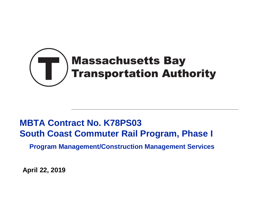

# **MBTA Contract No. K78PS03 South Coast Commuter Rail Program, Phase I**

**Program Management/Construction Management Services** 

**April 22, 2019**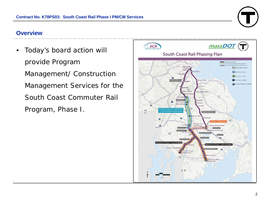#### **Overview**

• Today's board action will provide Program Management/ Construction Management Services for the South Coast Commuter Rail Program, Phase I.

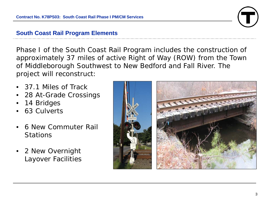### **South Coast Rail Program Elements**

Phase I of the South Coast Rail Program includes the construction of approximately 37 miles of active Right of Way (ROW) from the Town of Middleborough Southwest to New Bedford and Fall River. The project will reconstruct:

- 37.1 Miles of Track
- 28 At-Grade Crossings
- 14 Bridges
- 63 Culverts
- 6 New Commuter Rail **Stations**
- 2 New Overnight Layover Facilities

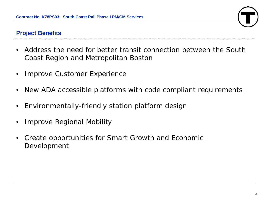

### **Project Benefits**

- Address the need for better transit connection between the South Coast Region and Metropolitan Boston
- Improve Customer Experience
- New ADA accessible platforms with code compliant requirements
- Environmentally-friendly station platform design
- Improve Regional Mobility
- Create opportunities for Smart Growth and Economic Development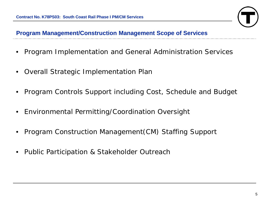

# **Program Management/Construction Management Scope of Services**

- Program Implementation and General Administration Services
- Overall Strategic Implementation Plan
- Program Controls Support including Cost, Schedule and Budget
- Environmental Permitting/Coordination Oversight
- Program Construction Management(CM) Staffing Support
- Public Participation & Stakeholder Outreach